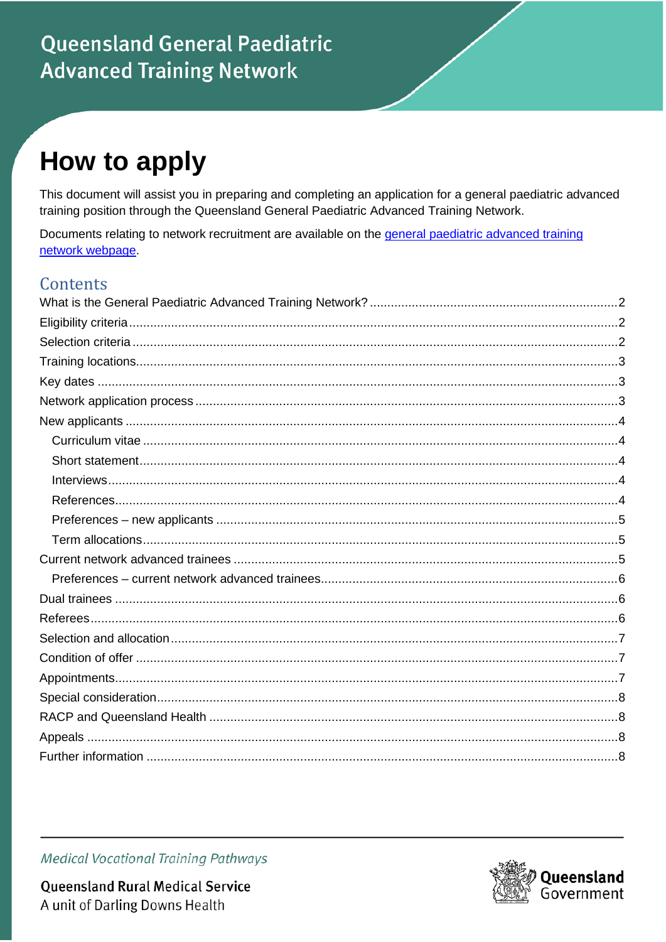# **Queensland General Paediatric Advanced Training Network**

# How to apply

This document will assist you in preparing and completing an application for a general paediatric advanced training position through the Queensland General Paediatric Advanced Training Network.

Documents relating to network recruitment are available on the general paediatric advanced training network webpage.

#### Contents

**Medical Vocational Training Pathways** 



**Queensland Rural Medical Service** A unit of Darling Downs Health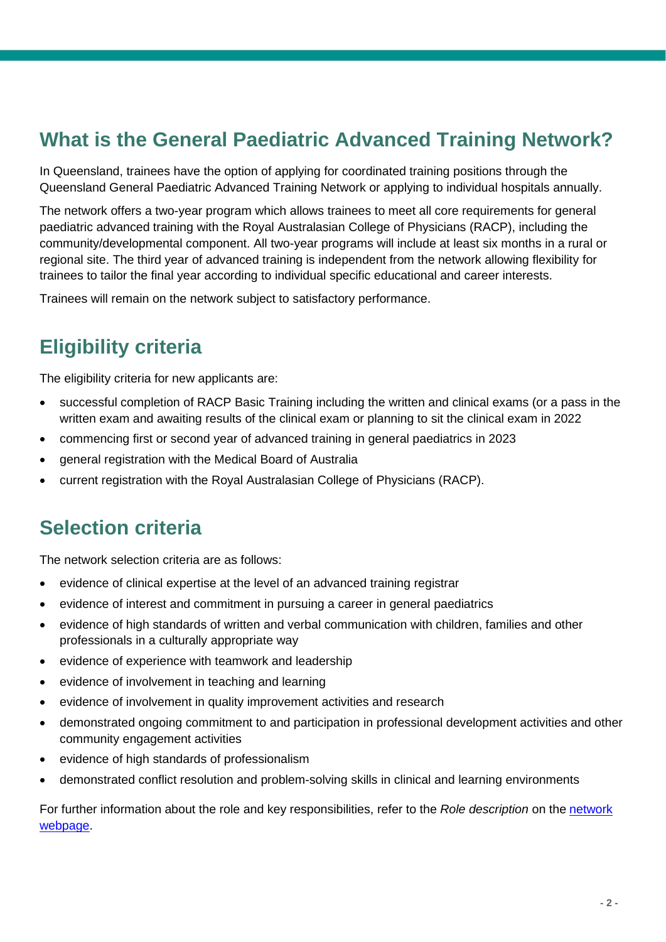## <span id="page-1-0"></span>**What is the General Paediatric Advanced Training Network?**

In Queensland, trainees have the option of applying for coordinated training positions through the Queensland General Paediatric Advanced Training Network or applying to individual hospitals annually.

The network offers a two-year program which allows trainees to meet all core requirements for general paediatric advanced training with the Royal Australasian College of Physicians (RACP), including the community/developmental component. All two-year programs will include at least six months in a rural or regional site. The third year of advanced training is independent from the network allowing flexibility for trainees to tailor the final year according to individual specific educational and career interests.

Trainees will remain on the network subject to satisfactory performance.

### <span id="page-1-1"></span>**Eligibility criteria**

The eligibility criteria for new applicants are:

- successful completion of RACP Basic Training including the written and clinical exams (or a pass in the written exam and awaiting results of the clinical exam or planning to sit the clinical exam in 2022
- commencing first or second year of advanced training in general paediatrics in 2023
- general registration with the Medical Board of Australia
- current registration with the Royal Australasian College of Physicians (RACP).

#### <span id="page-1-2"></span>**Selection criteria**

The network selection criteria are as follows:

- evidence of clinical expertise at the level of an advanced training registrar
- evidence of interest and commitment in pursuing a career in general paediatrics
- evidence of high standards of written and verbal communication with children, families and other professionals in a culturally appropriate way
- evidence of experience with teamwork and leadership
- evidence of involvement in teaching and learning
- evidence of involvement in quality improvement activities and research
- demonstrated ongoing commitment to and participation in professional development activities and other community engagement activities
- evidence of high standards of professionalism
- demonstrated conflict resolution and problem-solving skills in clinical and learning environments

For further information about the role and key responsibilities, refer to the *Role description* on the [network](https://www.health.qld.gov.au/employment/work-for-us/clinical/medical/recruitment/training/advanced-paediatric) [webpage.](https://www.health.qld.gov.au/employment/work-for-us/clinical/medical/recruitment/training/advanced-paediatric)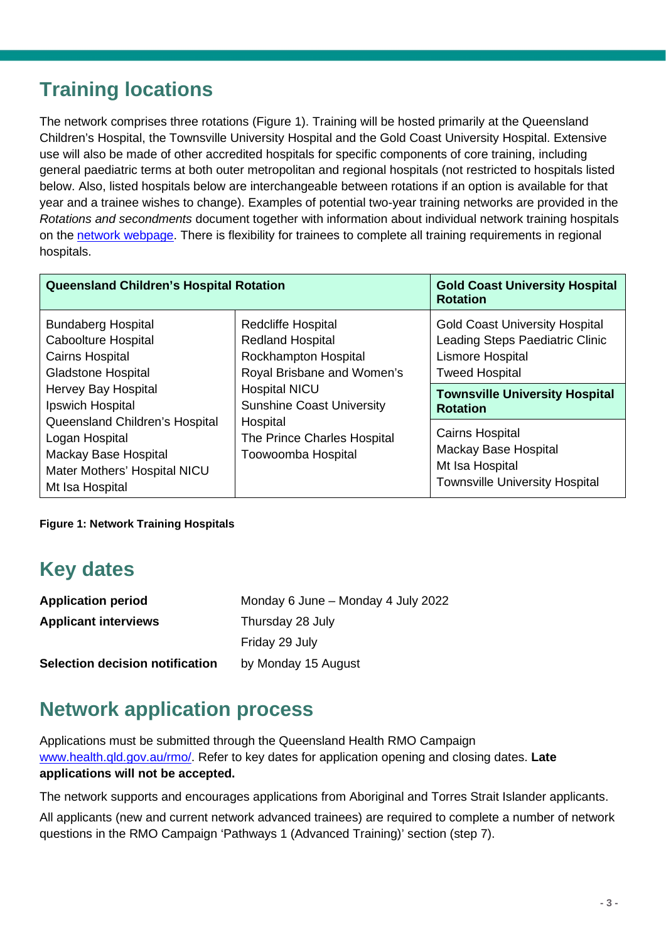### <span id="page-2-0"></span>**Training locations**

The network comprises three rotations (Figure 1). Training will be hosted primarily at the Queensland Children's Hospital, the Townsville University Hospital and the Gold Coast University Hospital. Extensive use will also be made of other accredited hospitals for specific components of core training, including general paediatric terms at both outer metropolitan and regional hospitals (not restricted to hospitals listed below. Also, listed hospitals below are interchangeable between rotations if an option is available for that year and a trainee wishes to change). Examples of potential two-year training networks are provided in the *Rotations and secondments* document together with information about individual network training hospitals on the [network](https://www.health.qld.gov.au/employment/work-for-us/clinical/medical/recruitment/training/advanced-paediatric) webpa[ge.](https://www.health.qld.gov.au/employment/work-for-us/clinical/medical/recruitment/training/advanced-paediatric) There is flexibility for trainees to complete all training requirements in regional hospitals.

| <b>Queensland Children's Hospital Rotation</b>                                                                                                            | <b>Gold Coast University Hospital</b><br><b>Rotation</b>                                                                                                               |                                                                                                                                                                                   |
|-----------------------------------------------------------------------------------------------------------------------------------------------------------|------------------------------------------------------------------------------------------------------------------------------------------------------------------------|-----------------------------------------------------------------------------------------------------------------------------------------------------------------------------------|
| <b>Bundaberg Hospital</b><br><b>Caboolture Hospital</b><br><b>Cairns Hospital</b><br><b>Gladstone Hospital</b><br>Hervey Bay Hospital<br>Ipswich Hospital | Redcliffe Hospital<br><b>Redland Hospital</b><br><b>Rockhampton Hospital</b><br>Royal Brisbane and Women's<br><b>Hospital NICU</b><br><b>Sunshine Coast University</b> | <b>Gold Coast University Hospital</b><br>Leading Steps Paediatric Clinic<br>Lismore Hospital<br><b>Tweed Hospital</b><br><b>Townsville University Hospital</b><br><b>Rotation</b> |
| Queensland Children's Hospital<br>Logan Hospital<br>Mackay Base Hospital<br>Mater Mothers' Hospital NICU<br>Mt Isa Hospital                               | Hospital<br>The Prince Charles Hospital<br>Toowoomba Hospital                                                                                                          | <b>Cairns Hospital</b><br>Mackay Base Hospital<br>Mt Isa Hospital<br><b>Townsville University Hospital</b>                                                                        |

<span id="page-2-1"></span>**Figure 1: Network Training Hospitals**

### **Key dates**

| <b>Application period</b>       | Monday 6 June - Monday 4 July 2022 |
|---------------------------------|------------------------------------|
| <b>Applicant interviews</b>     | Thursday 28 July                   |
|                                 | Friday 29 July                     |
| Selection decision notification | by Monday 15 August                |

### <span id="page-2-2"></span>**Network application process**

Applications must be submitted through the Queensland Health RMO Campaign [www.health.qld.gov.au/rmo/.](http://www.health.qld.gov.au/rmo/) Refer to key dates for application opening and closing dates. **Late applications will not be accepted.**

The network supports and encourages applications from Aboriginal and Torres Strait Islander applicants.

All applicants (new and current network advanced trainees) are required to complete a number of network questions in the RMO Campaign 'Pathways 1 (Advanced Training)' section (step 7).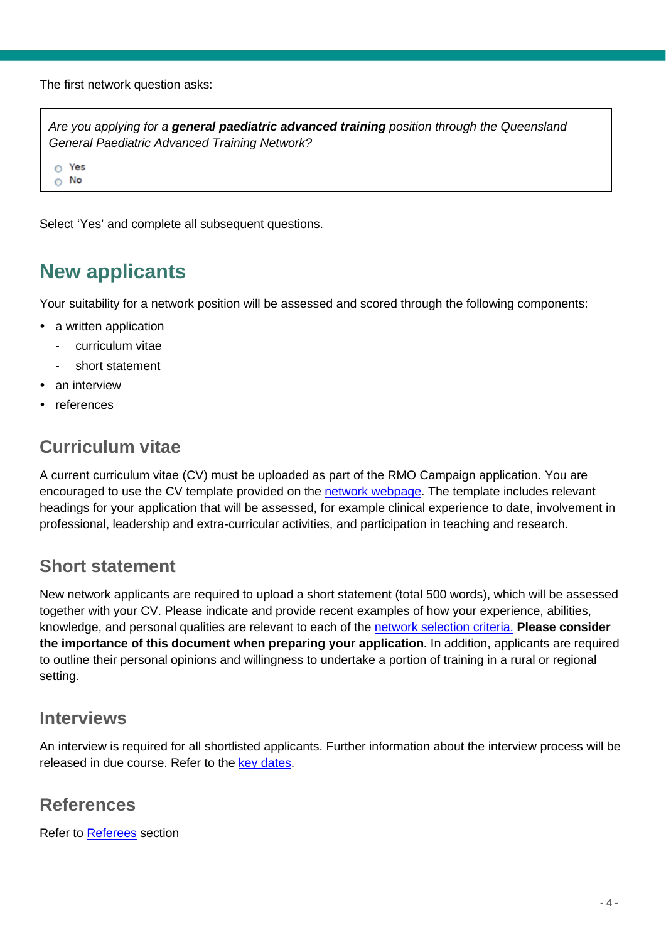The first network question asks:

*Are you applying for a general paediatric advanced training position through the Queensland General Paediatric Advanced Training Network?*

 $\circ$  Yes  $\circ$  No

Select 'Yes' and complete all subsequent questions.

### <span id="page-3-0"></span>**New applicants**

Your suitability for a network position will be assessed and scored through the following components:

- a written application
	- curriculum vitae
	- short statement
- an interview
- references

#### <span id="page-3-1"></span>**Curriculum vitae**

A current curriculum vitae (CV) must be uploaded as part of the RMO Campaign application. You are encouraged to use the CV template provided on the [network](https://www.health.qld.gov.au/employment/work-for-us/clinical/medical/recruitment/training/advanced-paediatric) [webpage.](https://www.health.qld.gov.au/employment/work-for-us/clinical/medical/recruitment/training/advanced-paediatric) The template includes relevant headings for your application that will be assessed, for example clinical experience to date, involvement in professional, leadership and extra-curricular activities, and participation in teaching and research.

#### <span id="page-3-2"></span>**Short statement**

New network applicants are required to upload a short statement (total 500 words), which will be assessed together with your CV. Please indicate and provide recent examples of how your experience, abilities, knowledge, and personal qualities are relevant to each of the network [selection criteria.](#page-1-2) **Please consider the importance of this document when preparing your application.** In addition, applicants are required to outline their personal opinions and willingness to undertake a portion of training in a rural or regional setting.

#### <span id="page-3-3"></span>**Interviews**

An interview is required for all shortlisted applicants. Further information about the interview process will be released in due course. Refer to the [key dates.](#page-2-1)

#### <span id="page-3-4"></span>**References**

Refer to [Referees](#page-5-2) section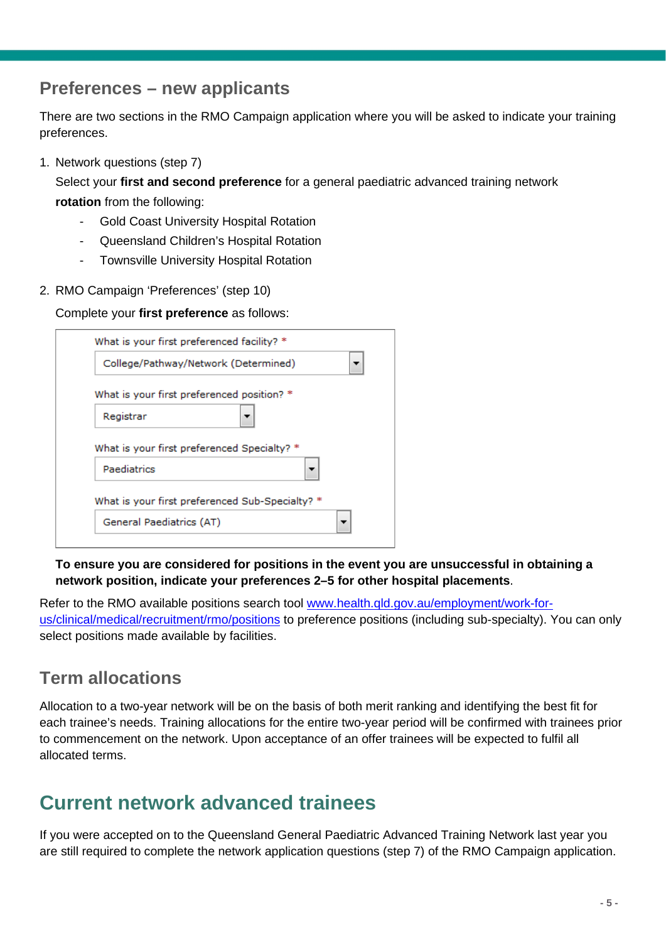#### <span id="page-4-0"></span>**Preferences – new applicants**

There are two sections in the RMO Campaign application where you will be asked to indicate your training preferences.

1. Network questions (step 7)

Select your **first and second preference** for a general paediatric advanced training network **rotation** from the following:

- Gold Coast University Hospital Rotation
- Queensland Children's Hospital Rotation
- Townsville University Hospital Rotation
- 2. RMO Campaign 'Preferences' (step 10)

Complete your **first preference** as follows:

|             | College/Pathway/Network (Determined)            |
|-------------|-------------------------------------------------|
|             | What is your first preferenced position? *      |
| Registrar   |                                                 |
|             |                                                 |
|             | What is your first preferenced Specialty? *     |
| Paediatrics |                                                 |
|             | What is your first preferenced Sub-Specialty? * |

**To ensure you are considered for positions in the event you are unsuccessful in obtaining a network position, indicate your preferences 2–5 for other hospital placements**.

Refer to the RMO available positions search tool [www.health.qld.gov.au/employment/work-for](http://www.health.qld.gov.au/employment/work-for-us/clinical/medical/recruitment/rmo/positions)[us/clinical/medical/recruitment/rmo/positions](http://www.health.qld.gov.au/employment/work-for-us/clinical/medical/recruitment/rmo/positions) to preference positions (including sub-specialty). You can only select positions made available by facilities.

#### <span id="page-4-1"></span>**Term allocations**

Allocation to a two-year network will be on the basis of both merit ranking and identifying the best fit for each trainee's needs. Training allocations for the entire two-year period will be confirmed with trainees prior to commencement on the network. Upon acceptance of an offer trainees will be expected to fulfil all allocated terms.

#### <span id="page-4-2"></span>**Current network advanced trainees**

If you were accepted on to the Queensland General Paediatric Advanced Training Network last year you are still required to complete the network application questions (step 7) of the RMO Campaign application.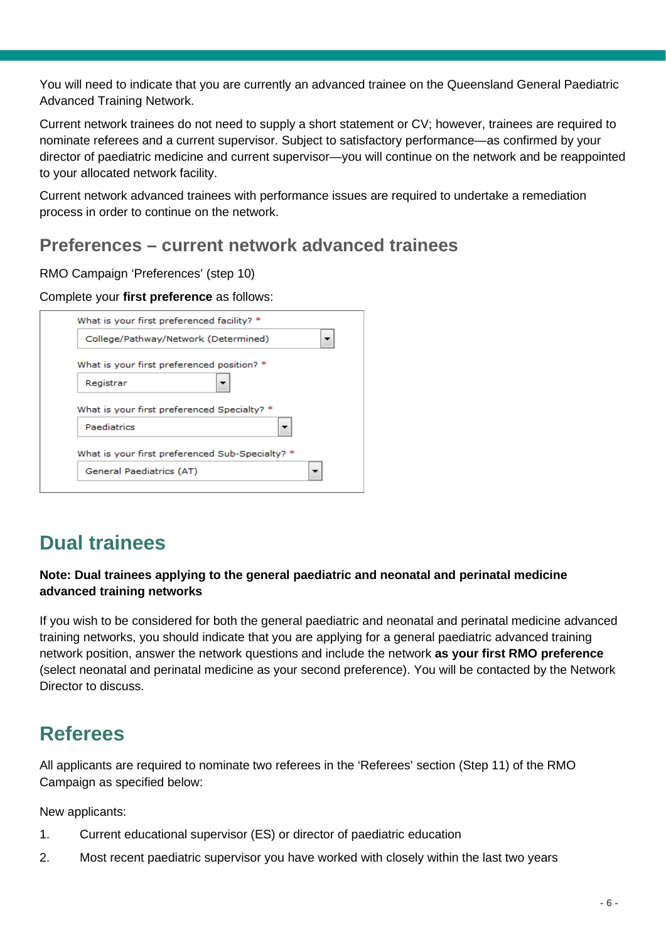You will need to indicate that you are currently an advanced trainee on the Queensland General Paediatric Advanced Training Network.

Current network trainees do not need to supply a short statement or CV; however, trainees are required to nominate referees and a current supervisor. Subject to satisfactory performance—as confirmed by your director of paediatric medicine and current supervisor—you will continue on the network and be reappointed to your allocated network facility.

Current network advanced trainees with performance issues are required to undertake a remediation process in order to continue on the network.

#### <span id="page-5-0"></span>**Preferences – current network advanced trainees**

RMO Campaign 'Preferences' (step 10)

#### Complete your **first preference** as follows:

| What is your first preferenced facility? * |                                                 |
|--------------------------------------------|-------------------------------------------------|
|                                            | College/Pathway/Network (Determined)            |
|                                            | What is your first preferenced position? *      |
| Registrar                                  |                                                 |
|                                            |                                                 |
|                                            | What is your first preferenced Specialty? *     |
| Paediatrics                                |                                                 |
|                                            | What is your first preferenced Sub-Specialty? * |

### <span id="page-5-1"></span>**Dual trainees**

#### **Note: Dual trainees applying to the general paediatric and neonatal and perinatal medicine advanced training networks**

If you wish to be considered for both the general paediatric and neonatal and perinatal medicine advanced training networks, you should indicate that you are applying for a general paediatric advanced training network position, answer the network questions and include the network **as your first RMO preference** (select neonatal and perinatal medicine as your second preference). You will be contacted by the Network Director to discuss.

#### <span id="page-5-2"></span>**Referees**

All applicants are required to nominate two referees in the 'Referees' section (Step 11) of the RMO Campaign as specified below:

New applicants:

- 1. Current educational supervisor (ES) or director of paediatric education
- 2. Most recent paediatric supervisor you have worked with closely within the last two years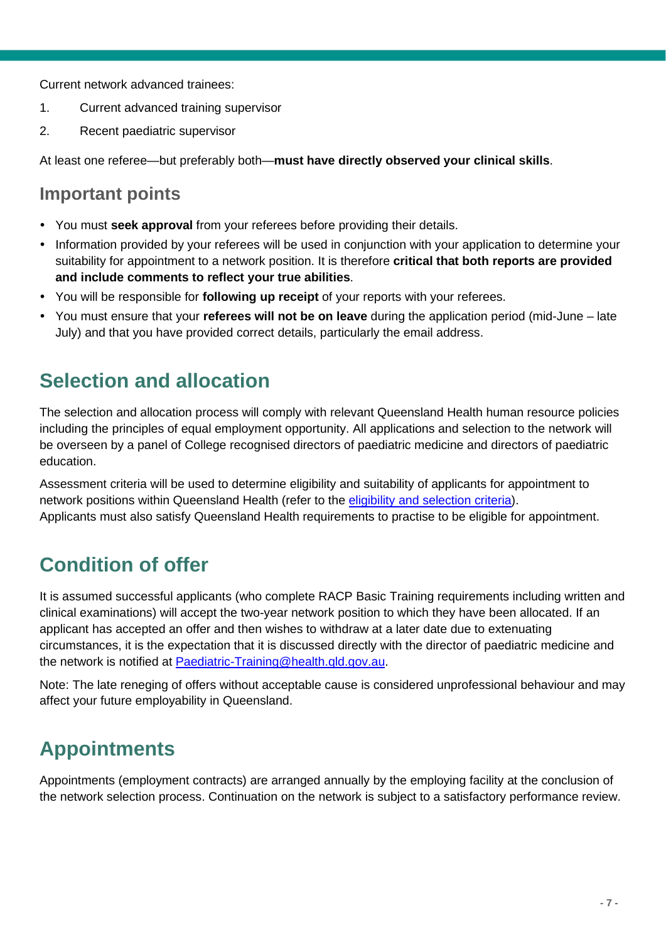Current network advanced trainees:

- 1. Current advanced training supervisor
- 2. Recent paediatric supervisor

At least one referee—but preferably both—**must have directly observed your clinical skills**.

#### **Important points**

- You must **seek approval** from your referees before providing their details.
- Information provided by your referees will be used in conjunction with your application to determine your suitability for appointment to a network position. It is therefore **critical that both reports are provided and include comments to reflect your true abilities**.
- You will be responsible for **following up receipt** of your reports with your referees.
- You must ensure that your **referees will not be on leave** during the application period (mid-June late July) and that you have provided correct details, particularly the email address.

#### <span id="page-6-0"></span>**Selection and allocation**

The selection and allocation process will comply with relevant Queensland Health human resource policies including the principles of equal employment opportunity. All applications and selection to the network will be overseen by a panel of College recognised directors of paediatric medicine and directors of paediatric education.

Assessment criteria will be used to determine eligibility and suitability of applicants for appointment to network positions within Queensland Health (refer to the [eligibility and selection criteria\)](#page-1-1). Applicants must also satisfy Queensland Health requirements to practise to be eligible for appointment.

### <span id="page-6-1"></span>**Condition of offer**

It is assumed successful applicants (who complete RACP Basic Training requirements including written and clinical examinations) will accept the two-year network position to which they have been allocated. If an applicant has accepted an offer and then wishes to withdraw at a later date due to extenuating circumstances, it is the expectation that it is discussed directly with the director of paediatric medicine and the network is notified at [Paediatric-Training@health.qld.gov.au.](mailto:Paediatric-Training@health.qld.gov.au)

Note: The late reneging of offers without acceptable cause is considered unprofessional behaviour and may affect your future employability in Queensland.

### <span id="page-6-2"></span>**Appointments**

Appointments (employment contracts) are arranged annually by the employing facility at the conclusion of the network selection process. Continuation on the network is subject to a satisfactory performance review.